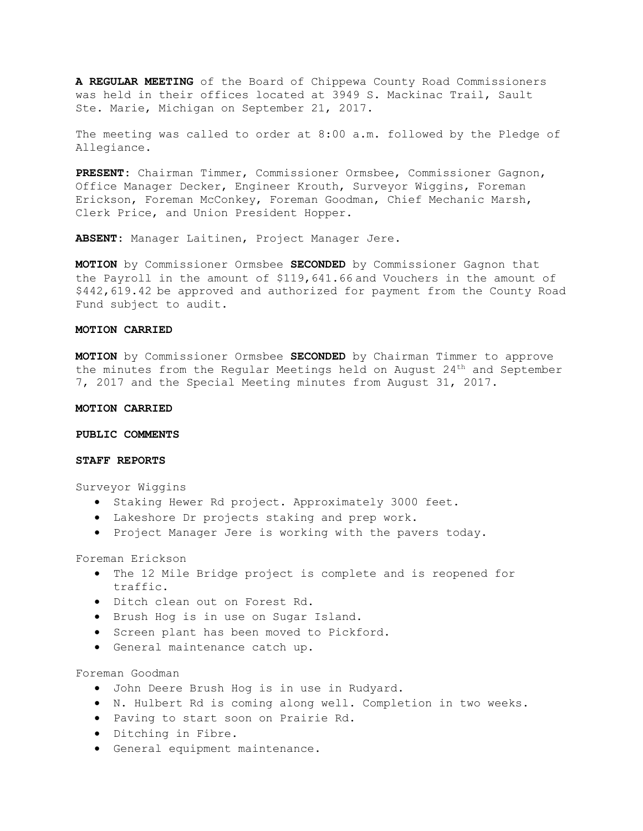**A REGULAR MEETING** of the Board of Chippewa County Road Commissioners was held in their offices located at 3949 S. Mackinac Trail, Sault Ste. Marie, Michigan on September 21, 2017.

The meeting was called to order at 8:00 a.m. followed by the Pledge of Allegiance.

**PRESENT:** Chairman Timmer, Commissioner Ormsbee, Commissioner Gagnon, Office Manager Decker, Engineer Krouth, Surveyor Wiggins, Foreman Erickson, Foreman McConkey, Foreman Goodman, Chief Mechanic Marsh, Clerk Price, and Union President Hopper.

**ABSENT:** Manager Laitinen, Project Manager Jere.

**MOTION** by Commissioner Ormsbee **SECONDED** by Commissioner Gagnon that the Payroll in the amount of \$119,641.66 and Vouchers in the amount of \$442,619.42 be approved and authorized for payment from the County Road Fund subject to audit.

# **MOTION CARRIED**

**MOTION** by Commissioner Ormsbee **SECONDED** by Chairman Timmer to approve the minutes from the Regular Meetings held on August 24th and September 7, 2017 and the Special Meeting minutes from August 31, 2017.

## **MOTION CARRIED**

#### **PUBLIC COMMENTS**

## **STAFF REPORTS**

Surveyor Wiggins

- Staking Hewer Rd project. Approximately 3000 feet.
- Lakeshore Dr projects staking and prep work.
- Project Manager Jere is working with the pavers today.

Foreman Erickson

- The 12 Mile Bridge project is complete and is reopened for traffic.
- Ditch clean out on Forest Rd.
- Brush Hog is in use on Sugar Island.
- Screen plant has been moved to Pickford.
- General maintenance catch up.

Foreman Goodman

- John Deere Brush Hog is in use in Rudyard.
- N. Hulbert Rd is coming along well. Completion in two weeks.
- Paving to start soon on Prairie Rd.
- Ditching in Fibre.
- General equipment maintenance.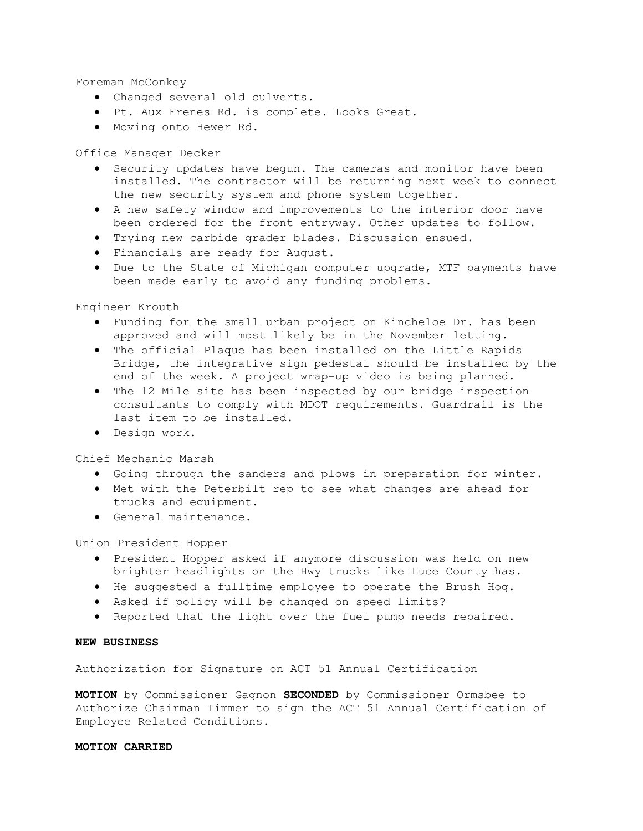Foreman McConkey

- Changed several old culverts.
- Pt. Aux Frenes Rd. is complete. Looks Great.
- Moving onto Hewer Rd.

Office Manager Decker

- Security updates have begun. The cameras and monitor have been installed. The contractor will be returning next week to connect the new security system and phone system together.
- A new safety window and improvements to the interior door have been ordered for the front entryway. Other updates to follow.
- Trying new carbide grader blades. Discussion ensued.
- Financials are ready for August.
- Due to the State of Michigan computer upgrade, MTF payments have been made early to avoid any funding problems.

Engineer Krouth

- Funding for the small urban project on Kincheloe Dr. has been approved and will most likely be in the November letting.
- The official Plaque has been installed on the Little Rapids Bridge, the integrative sign pedestal should be installed by the end of the week. A project wrap-up video is being planned.
- The 12 Mile site has been inspected by our bridge inspection consultants to comply with MDOT requirements. Guardrail is the last item to be installed.
- Design work.

Chief Mechanic Marsh

- Going through the sanders and plows in preparation for winter.
- Met with the Peterbilt rep to see what changes are ahead for trucks and equipment.
- General maintenance.

Union President Hopper

- President Hopper asked if anymore discussion was held on new brighter headlights on the Hwy trucks like Luce County has.
- He suggested a fulltime employee to operate the Brush Hog.
- Asked if policy will be changed on speed limits?
- Reported that the light over the fuel pump needs repaired.

#### **NEW BUSINESS**

Authorization for Signature on ACT 51 Annual Certification

**MOTION** by Commissioner Gagnon **SECONDED** by Commissioner Ormsbee to Authorize Chairman Timmer to sign the ACT 51 Annual Certification of Employee Related Conditions.

## **MOTION CARRIED**